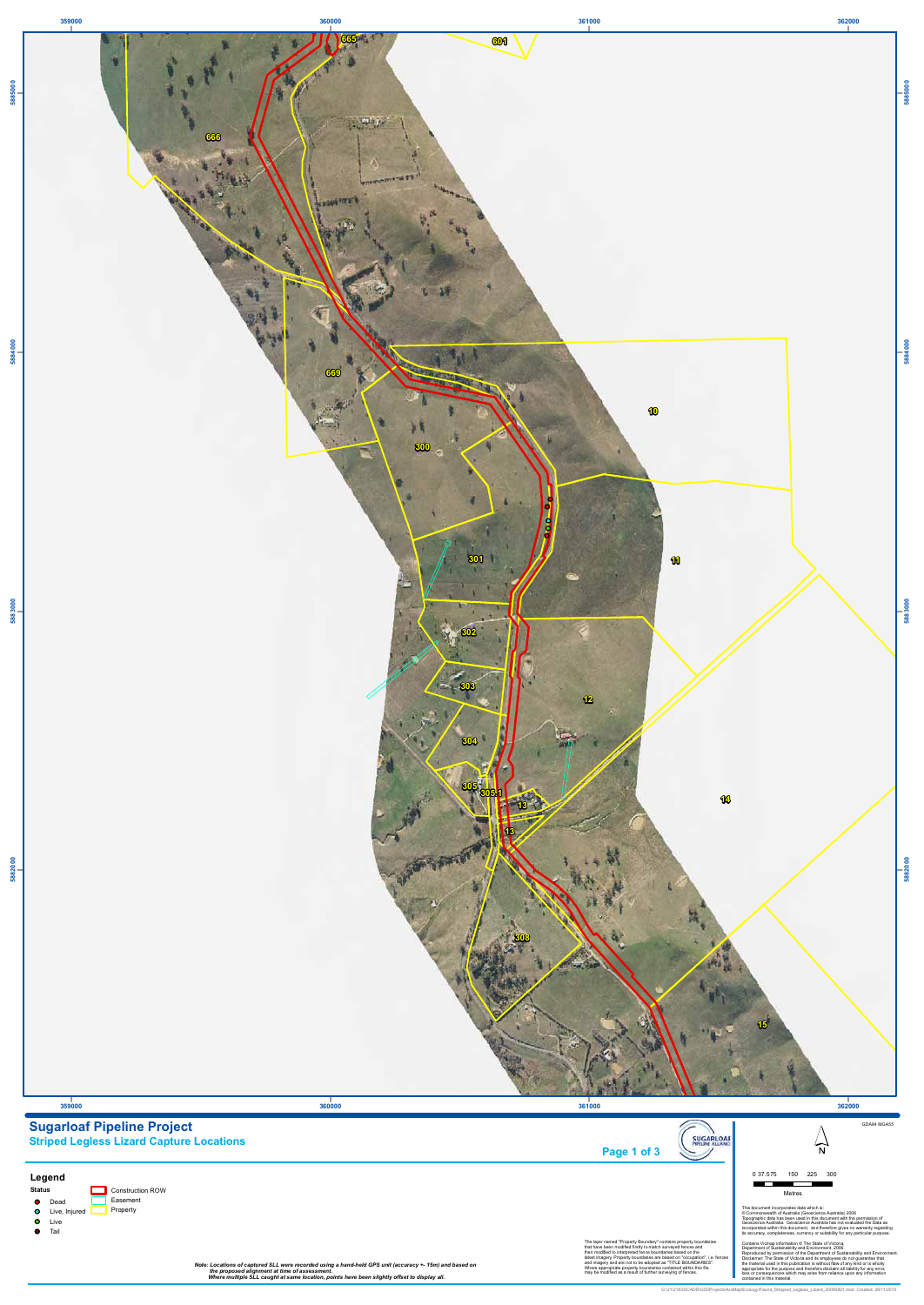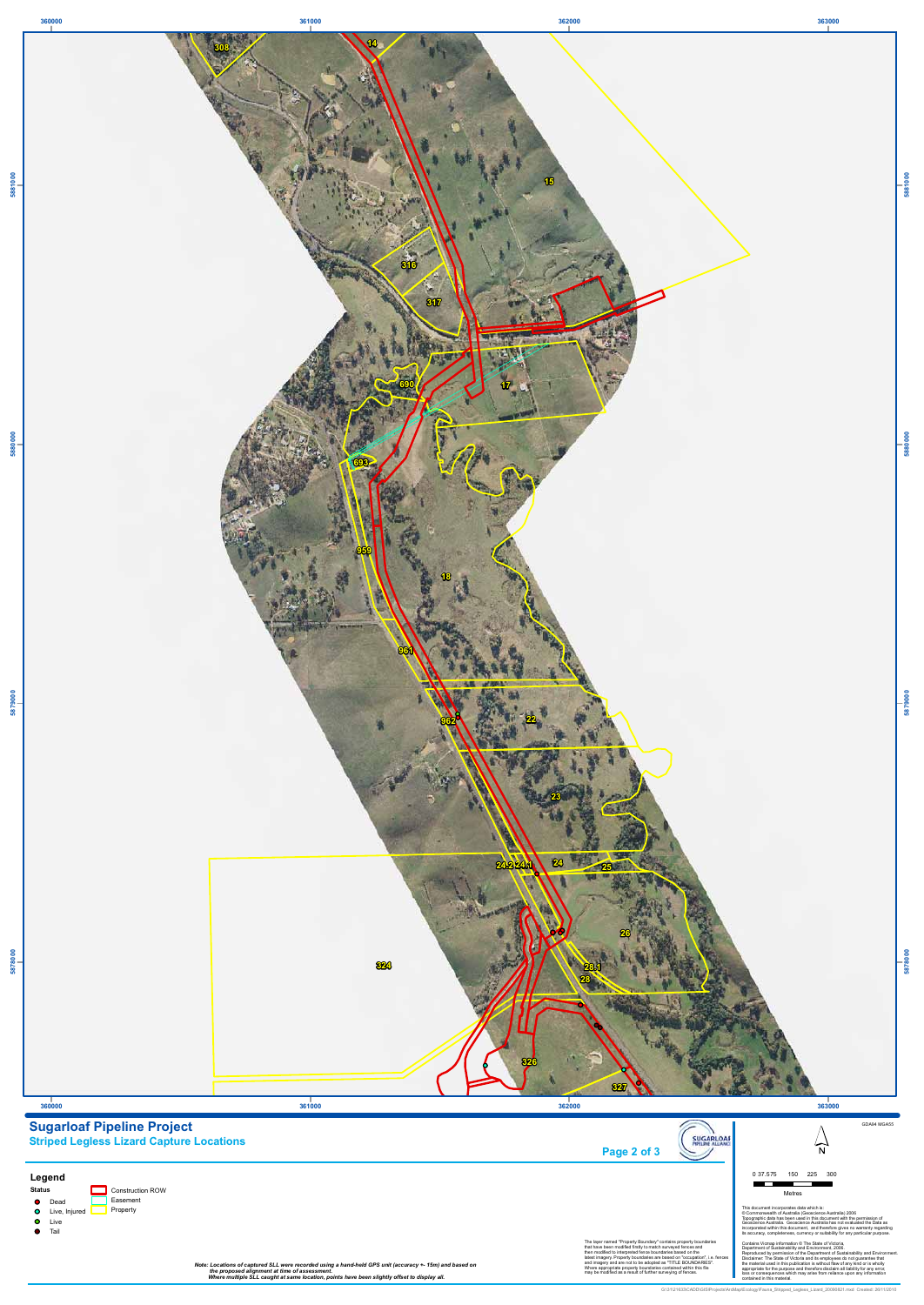